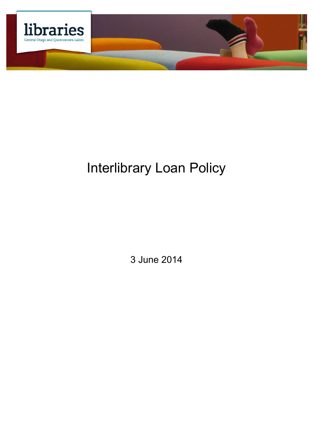

# Interlibrary Loan Policy

3 June 2014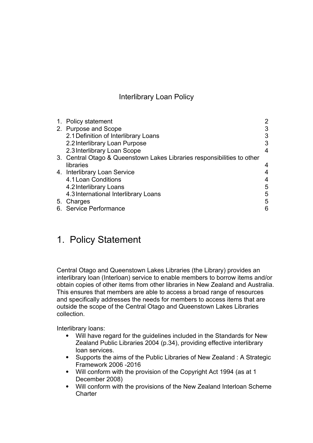#### Interlibrary Loan Policy

| 1. Policy statement                                                     |   |
|-------------------------------------------------------------------------|---|
| 2. Purpose and Scope                                                    |   |
| 2.1 Definition of Interlibrary Loans                                    |   |
| 2.2 Interlibrary Loan Purpose                                           |   |
| 2.3 Interlibrary Loan Scope                                             |   |
| 3. Central Otago & Queenstown Lakes Libraries responsibilities to other |   |
| libraries                                                               |   |
| 4. Interlibrary Loan Service                                            |   |
| 4.1 Loan Conditions                                                     |   |
| 4.2 Interlibrary Loans                                                  | 5 |
| 4.3 International Interlibrary Loans                                    | 5 |
| 5. Charges                                                              | 5 |
| 6. Service Performance                                                  |   |

## 1. Policy Statement

Central Otago and Queenstown Lakes Libraries (the Library) provides an interlibrary loan (Interloan) service to enable members to borrow items and/or obtain copies of other items from other libraries in New Zealand and Australia. This ensures that members are able to access a broad range of resources and specifically addresses the needs for members to access items that are outside the scope of the Central Otago and Queenstown Lakes Libraries collection.

Interlibrary loans:

- Will have regard for the guidelines included in the Standards for New Zealand Public Libraries 2004 (p.34), providing effective interlibrary loan services.
- Supports the aims of the Public Libraries of New Zealand: A Strategic Framework 2006 -2016
- Will conform with the provision of the Copyright Act 1994 (as at 1 December 2008)
- Will conform with the provisions of the New Zealand Interloan Scheme **Charter**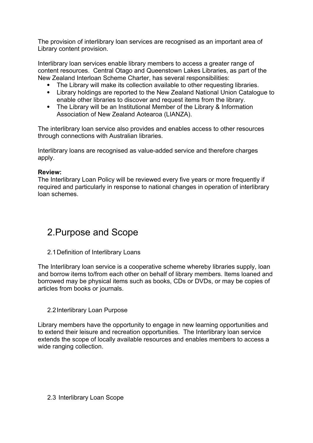The provision of interlibrary loan services are recognised as an important area of Library content provision.

Interlibrary loan services enable library members to access a greater range of content resources. Central Otago and Queenstown Lakes Libraries, as part of the New Zealand Interloan Scheme Charter, has several responsibilities:

- The Library will make its collection available to other requesting libraries.
- Library holdings are reported to the New Zealand National Union Catalogue to enable other libraries to discover and request items from the library.
- The Library will be an Institutional Member of the Library & Information Association of New Zealand Aotearoa (LIANZA).

The interlibrary loan service also provides and enables access to other resources through connections with Australian libraries.

Interlibrary loans are recognised as value-added service and therefore charges apply.

#### **Review:**

The Interlibrary Loan Policy will be reviewed every five years or more frequently if required and particularly in response to national changes in operation of interlibrary loan schemes.

## 2.Purpose and Scope

2.1Definition of Interlibrary Loans

The Interlibrary loan service is a cooperative scheme whereby libraries supply, loan and borrow items to/from each other on behalf of library members. Items loaned and borrowed may be physical items such as books, CDs or DVDs, or may be copies of articles from books or journals.

#### 2.2Interlibrary Loan Purpose

Library members have the opportunity to engage in new learning opportunities and to extend their leisure and recreation opportunities. The Interlibrary loan service extends the scope of locally available resources and enables members to access a wide ranging collection.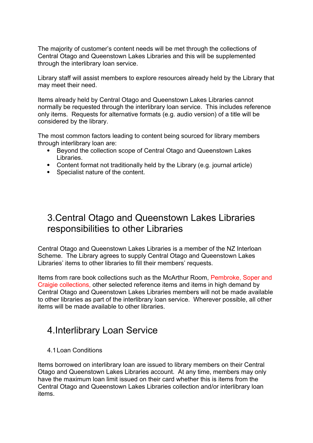The majority of customer's content needs will be met through the collections of Central Otago and Queenstown Lakes Libraries and this will be supplemented through the interlibrary loan service.

Library staff will assist members to explore resources already held by the Library that may meet their need.

Items already held by Central Otago and Queenstown Lakes Libraries cannot normally be requested through the interlibrary loan service. This includes reference only items. Requests for alternative formats (e.g. audio version) of a title will be considered by the library.

The most common factors leading to content being sourced for library members through interlibrary loan are:

- Beyond the collection scope of Central Otago and Queenstown Lakes Libraries.
- Content format not traditionally held by the Library (e.g. journal article)
- Specialist nature of the content.

## 3.Central Otago and Queenstown Lakes Libraries responsibilities to other Libraries

Central Otago and Queenstown Lakes Libraries is a member of the NZ Interloan Scheme. The Library agrees to supply Central Otago and Queenstown Lakes Libraries' items to other libraries to fill their members' requests.

Items from rare book collections such as the McArthur Room, Pembroke, Soper and Craigie collections, other selected reference items and items in high demand by Central Otago and Queenstown Lakes Libraries members will not be made available to other libraries as part of the interlibrary loan service. Wherever possible, all other items will be made available to other libraries.

### 4.Interlibrary Loan Service

4.1Loan Conditions

Items borrowed on interlibrary loan are issued to library members on their Central Otago and Queenstown Lakes Libraries account. At any time, members may only have the maximum loan limit issued on their card whether this is items from the Central Otago and Queenstown Lakes Libraries collection and/or interlibrary loan items.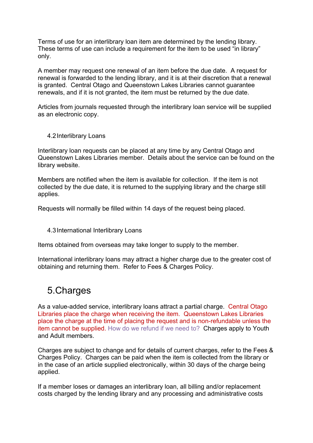Terms of use for an interlibrary loan item are determined by the lending library. These terms of use can include a requirement for the item to be used "in library" only.

A member may request one renewal of an item before the due date. A request for renewal is forwarded to the lending library, and it is at their discretion that a renewal is granted. Central Otago and Queenstown Lakes Libraries cannot guarantee renewals, and if it is not granted, the item must be returned by the due date.

Articles from journals requested through the interlibrary loan service will be supplied as an electronic copy.

#### 4.2Interlibrary Loans

Interlibrary loan requests can be placed at any time by any Central Otago and Queenstown Lakes Libraries member. Details about the service can be found on the library website.

Members are notified when the item is available for collection. If the item is not collected by the due date, it is returned to the supplying library and the charge still applies.

Requests will normally be filled within 14 days of the request being placed.

#### 4.3International Interlibrary Loans

Items obtained from overseas may take longer to supply to the member.

International interlibrary loans may attract a higher charge due to the greater cost of obtaining and returning them. Refer to Fees & Charges Policy.

### 5.Charges

As a value-added service, interlibrary loans attract a partial charge. Central Otago Libraries place the charge when receiving the item. Queenstown Lakes Libraries place the charge at the time of placing the request and is non-refundable unless the item cannot be supplied. How do we refund if we need to? Charges apply to Youth and Adult members.

Charges are subject to change and for details of current charges, refer to the Fees & Charges Policy. Charges can be paid when the item is collected from the library or in the case of an article supplied electronically, within 30 days of the charge being applied.

If a member loses or damages an interlibrary loan, all billing and/or replacement costs charged by the lending library and any processing and administrative costs